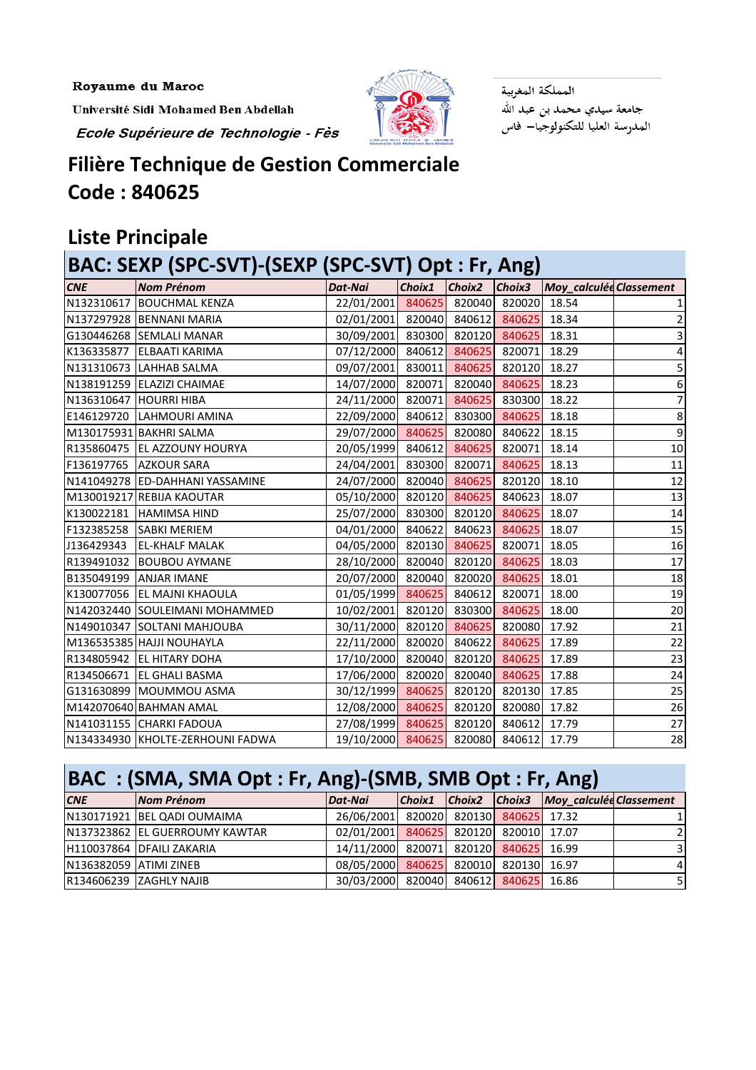Royaume du Maroc

Université Sidi Mohamed Ben Abdellah

Ecole Supérieure de Technologie - Fès



المملكة المغربية جامعة سيدي محمد بن عبد الله<br>المدرسة العليا للتكنولوجيا— فاس

#### **Filière Technique de Gestion Commerciale Code : 840625**

### **Liste Principale**

| BAC: SEXP (SPC-SVT)-(SEXP (SPC-SVT) Opt : Fr, Ang) |                                  |                   |        |        |        |                         |                |  |
|----------------------------------------------------|----------------------------------|-------------------|--------|--------|--------|-------------------------|----------------|--|
| <b>CNE</b>                                         | <b>Nom Prénom</b>                | Dat-Nai           | Choix1 | Choix2 | Choix3 | Moy_calculée Classement |                |  |
|                                                    | N132310617 BOUCHMAL KENZA        | 22/01/2001 840625 |        | 820040 | 820020 | 18.54                   |                |  |
|                                                    | N137297928 BENNANI MARIA         | 02/01/2001        | 820040 | 840612 | 840625 | 18.34                   | $\overline{2}$ |  |
|                                                    | G130446268 SEMLALI MANAR         | 30/09/2001        | 830300 | 820120 | 840625 | 18.31                   | 3              |  |
| K136335877                                         | <b>ELBAATI KARIMA</b>            | 07/12/2000        | 840612 | 840625 | 820071 | 18.29                   | 4              |  |
|                                                    | N131310673 LAHHAB SALMA          | 09/07/2001        | 830011 | 840625 | 820120 | 18.27                   | 5              |  |
|                                                    | N138191259 ELAZIZI CHAIMAE       | 14/07/2000 820071 |        | 820040 | 840625 | 18.23                   | 6              |  |
|                                                    | N136310647 HOURRI HIBA           | 24/11/2000        | 820071 | 840625 | 830300 | 18.22                   | $\overline{7}$ |  |
|                                                    | E146129720 LAHMOURI AMINA        | 22/09/2000        | 840612 | 830300 | 840625 | 18.18                   | 8              |  |
|                                                    | M130175931 BAKHRI SALMA          | 29/07/2000 840625 |        | 820080 | 840622 | 18.15                   | 9              |  |
|                                                    | R135860475 EL AZZOUNY HOURYA     | 20/05/1999        | 840612 | 840625 | 820071 | 18.14                   | $10\,$         |  |
|                                                    | F136197765 AZKOUR SARA           | 24/04/2001        | 830300 | 820071 | 840625 | 18.13                   | 11             |  |
|                                                    | N141049278 ED-DAHHANI YASSAMINE  | 24/07/2000        | 820040 | 840625 | 820120 | 18.10                   | 12             |  |
|                                                    | M130019217 REBIJA KAOUTAR        | 05/10/2000 820120 |        | 840625 | 840623 | 18.07                   | 13             |  |
| K130022181                                         | <b>HAMIMSA HIND</b>              | 25/07/2000        | 830300 | 820120 | 840625 | 18.07                   | 14             |  |
| F132385258                                         | <b>SABKI MERIEM</b>              | 04/01/2000        | 840622 | 840623 | 840625 | 18.07                   | 15             |  |
| J136429343                                         | <b>EL-KHALF MALAK</b>            | 04/05/2000 820130 |        | 840625 | 820071 | 18.05                   | 16             |  |
| R139491032                                         | <b>BOUBOU AYMANE</b>             | 28/10/2000        | 820040 | 820120 | 840625 | 18.03                   | 17             |  |
|                                                    | <b>B135049199 ANJAR IMANE</b>    | 20/07/2000        | 820040 | 820020 | 840625 | 18.01                   | 18             |  |
|                                                    | K130077056 EL MAJNI KHAOULA      | 01/05/1999 840625 |        | 840612 | 820071 | 18.00                   | 19             |  |
|                                                    | N142032440 SOULEIMANI MOHAMMED   | 10/02/2001        | 820120 | 830300 | 840625 | 18.00                   | 20             |  |
|                                                    | N149010347 SOLTANI MAHJOUBA      | 30/11/2000        | 820120 | 840625 | 820080 | 17.92                   | 21             |  |
|                                                    | M136535385 HAJJI NOUHAYLA        | 22/11/2000        | 820020 | 840622 | 840625 | 17.89                   | 22             |  |
|                                                    | R134805942 EL HITARY DOHA        | 17/10/2000        | 820040 | 820120 | 840625 | 17.89                   | 23             |  |
| R134506671                                         | <b>EL GHALI BASMA</b>            | 17/06/2000        | 820020 | 820040 | 840625 | 17.88                   | 24             |  |
|                                                    | G131630899 MOUMMOU ASMA          | 30/12/1999 840625 |        | 820120 | 820130 | 17.85                   | 25             |  |
|                                                    | M142070640 BAHMAN AMAL           | 12/08/2000 840625 |        | 820120 | 820080 | 17.82                   | 26             |  |
|                                                    | N141031155 CHARKI FADOUA         | 27/08/1999        | 840625 | 820120 | 840612 | 17.79                   | 27             |  |
|                                                    | N134334930 KHOLTE-ZERHOUNI FADWA | 19/10/2000        | 840625 | 820080 | 840612 | 17.79                   | 28             |  |

## **BAC : (SMA, SMA Opt : Fr, Ang)-(SMB, SMB Opt : Fr, Ang)**

| <b>CNE</b>             | Nom Prénom                     | Dat-Nai                               |  |  |  | Choix1 Choix2 Choix3 Moy_calculée Classement |                |
|------------------------|--------------------------------|---------------------------------------|--|--|--|----------------------------------------------|----------------|
|                        | N130171921 BEL QADI OUMAIMA    | 26/06/2001 820020 820130 840625 17.32 |  |  |  |                                              |                |
|                        | N137323862 EL GUERROUMY KAWTAR | 02/01/2001 840625 820120 820010 17.07 |  |  |  |                                              | $\overline{2}$ |
|                        | H110037864 DFAILI ZAKARIA      | 14/11/2000 820071 820120 840625 16.99 |  |  |  |                                              | $\overline{3}$ |
| N136382059 ATIMI ZINEB |                                | 08/05/2000 840625 820010 820130 16.97 |  |  |  |                                              | $\overline{4}$ |
|                        | R134606239 ZAGHLY NAJIB        | 30/03/2000 820040 840612 840625 16.86 |  |  |  |                                              | 51             |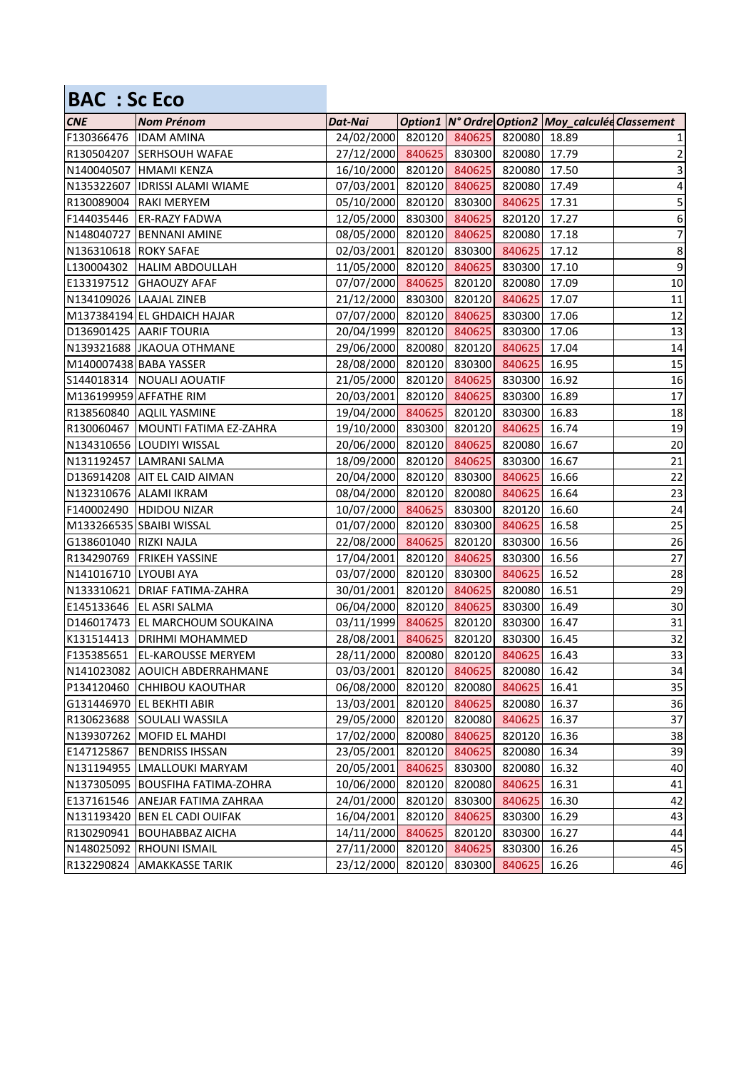| <b>BAC: Sc Eco</b>     |                               |                                       |        |               |              |                                                        |                  |
|------------------------|-------------------------------|---------------------------------------|--------|---------------|--------------|--------------------------------------------------------|------------------|
| <b>CNE</b>             | <b>Nom Prénom</b>             | Dat-Nai                               |        |               |              | Option1   N° Ordre   Option2   Moy_calculée Classement |                  |
| F130366476             | <b>IDAM AMINA</b>             | 24/02/2000 820120 840625              |        |               | 820080 18.89 |                                                        | 1                |
| R130504207             | <b>SERHSOUH WAFAE</b>         | 27/12/2000 840625 830300              |        |               | 820080 17.79 |                                                        | $\mathbf{2}$     |
|                        | N140040507 HMAMI KENZA        | 16/10/2000 820120 840625              |        |               | 820080       | 17.50                                                  | $\mathbf{3}$     |
| N135322607             | <b>IDRISSI ALAMI WIAME</b>    | 07/03/2001                            | 820120 | 840625        | 820080       | 17.49                                                  | $\overline{4}$   |
| R130089004             | <b>RAKI MERYEM</b>            | 05/10/2000 820120 830300              |        |               | 840625       | 17.31                                                  | 5                |
| F144035446             | <b>ER-RAZY FADWA</b>          | 12/05/2000 830300 840625              |        |               | 820120       | 17.27                                                  | $\boldsymbol{6}$ |
| N148040727             | <b>BENNANI AMINE</b>          | 08/05/2000 820120 840625              |        |               | 820080       | 17.18                                                  | $\overline{7}$   |
| N136310618 ROKY SAFAE  |                               | 02/03/2001 820120 830300              |        |               | 840625       | 17.12                                                  | $\bf 8$          |
| L130004302             | <b>HALIM ABDOULLAH</b>        | 11/05/2000 820120                     |        | 840625        | 830300       | 17.10                                                  | $\boldsymbol{9}$ |
| E133197512             | <b>GHAOUZY AFAF</b>           | 07/07/2000 840625 820120              |        |               | 820080       | 17.09                                                  | 10               |
|                        | N134109026 LAAJAL ZINEB       | 21/12/2000 830300                     |        | 820120        | 840625       | 17.07                                                  | 11               |
|                        | M137384194 EL GHDAICH HAJAR   | 07/07/2000 820120 840625              |        |               | 830300       | 17.06                                                  | 12               |
|                        | D136901425 AARIF TOURIA       | 20/04/1999 820120 840625              |        |               | 830300       | 17.06                                                  | 13               |
|                        | N139321688 JKAOUA OTHMANE     | 29/06/2000 820080                     |        | 820120        | 840625       | 17.04                                                  | 14               |
|                        | M140007438 BABA YASSER        | 28/08/2000 820120 830300              |        |               | 840625       | 16.95                                                  | 15               |
|                        | S144018314   NOUALI AOUATIF   | 21/05/2000 820120 840625              |        |               | 830300       | 16.92                                                  | 16               |
|                        | M136199959 AFFATHE RIM        | 20/03/2001 820120 840625              |        |               | 830300       | 16.89                                                  | 17               |
|                        | R138560840 AQLIL YASMINE      | 19/04/2000 840625                     |        | 820120        | 830300       | 16.83                                                  | 18               |
| R130060467             | MOUNTI FATIMA EZ-ZAHRA        | 19/10/2000                            | 830300 | 820120        | 840625       | 16.74                                                  | 19               |
|                        | N134310656 LOUDIYI WISSAL     | 20/06/2000 820120 840625              |        |               | 820080       | 16.67                                                  | 20               |
|                        | N131192457 LAMRANI SALMA      | 18/09/2000 820120 840625              |        |               | 830300       | 16.67                                                  | 21               |
|                        | D136914208 AIT EL CAID AIMAN  | 20/04/2000 820120 830300              |        |               | 840625       | 16.66                                                  | 22               |
|                        | N132310676 ALAMI IKRAM        | 08/04/2000 820120                     |        | 820080        | 840625       | 16.64                                                  | 23               |
| F140002490             | <b>HDIDOU NIZAR</b>           | 10/07/2000 840625                     |        | 830300        | 820120       | 16.60                                                  | 24               |
|                        | M133266535 SBAIBI WISSAL      | 01/07/2000 820120 830300              |        |               | 840625       | 16.58                                                  | 25               |
| G138601040 RIZKI NAJLA |                               | 22/08/2000 840625                     |        | 820120        | 830300       | 16.56                                                  | 26               |
|                        | R134290769 FRIKEH YASSINE     | 17/04/2001 820120 840625              |        |               | 830300       | 16.56                                                  | 27               |
| N141016710             | <b>LYOUBI AYA</b>             | 03/07/2000                            |        | 820120 830300 | 840625       | 16.52                                                  | 28               |
|                        | N133310621 DRIAF FATIMA-ZAHRA | 30/01/2001 820120 840625 820080 16.51 |        |               |              |                                                        | 29               |
|                        | E145133646 EL ASRI SALMA      | 06/04/2000 820120 840625              |        |               | 830300       | 16.49                                                  | 30               |
| D146017473             | <b>EL MARCHOUM SOUKAINA</b>   | 03/11/1999                            | 840625 | 820120        | 830300       | 16.47                                                  | 31               |
| K131514413             | <b>DRIHMI MOHAMMED</b>        | 28/08/2001                            | 840625 | 820120        | 830300       | 16.45                                                  | 32               |
| F135385651             | <b>EL-KAROUSSE MERYEM</b>     | 28/11/2000                            | 820080 | 820120        | 840625       | 16.43                                                  | 33               |
| N141023082             | <b>AOUICH ABDERRAHMANE</b>    | 03/03/2001                            | 820120 | 840625        | 820080       | 16.42                                                  | 34               |
| P134120460             | <b>CHHIBOU KAOUTHAR</b>       | 06/08/2000                            | 820120 | 820080        | 840625       | 16.41                                                  | 35               |
| G131446970             | <b>EL BEKHTI ABIR</b>         | 13/03/2001                            | 820120 | 840625        | 820080       | 16.37                                                  | 36               |
| R130623688             | SOULALI WASSILA               | 29/05/2000                            | 820120 | 820080        | 840625       | 16.37                                                  | 37               |
|                        | N139307262 MOFID EL MAHDI     | 17/02/2000                            | 820080 | 840625        | 820120       | 16.36                                                  | 38               |
| E147125867             | <b>BENDRISS IHSSAN</b>        | 23/05/2001                            |        | 820120 840625 | 820080       | 16.34                                                  | 39               |
|                        | N131194955 LMALLOUKI MARYAM   | 20/05/2001                            | 840625 | 830300        | 820080       | 16.32                                                  | 40               |
| N137305095             | <b>BOUSFIHA FATIMA-ZOHRA</b>  | 10/06/2000                            | 820120 | 820080        | 840625       | 16.31                                                  | 41               |
| E137161546             | <b>ANEJAR FATIMA ZAHRAA</b>   | 24/01/2000                            | 820120 | 830300        | 840625       | 16.30                                                  | 42               |
| N131193420             | <b>BEN EL CADI OUIFAK</b>     | 16/04/2001                            | 820120 | 840625        | 830300       | 16.29                                                  | 43               |
| R130290941             | <b>BOUHABBAZ AICHA</b>        | 14/11/2000                            | 840625 | 820120        | 830300       | 16.27                                                  | 44               |
| N148025092             | <b>RHOUNI ISMAIL</b>          | 27/11/2000                            | 820120 | 840625        | 830300       | 16.26                                                  | 45               |
| R132290824             | <b>AMAKKASSE TARIK</b>        | 23/12/2000                            | 820120 | 830300        | 840625       | 16.26                                                  | 46               |